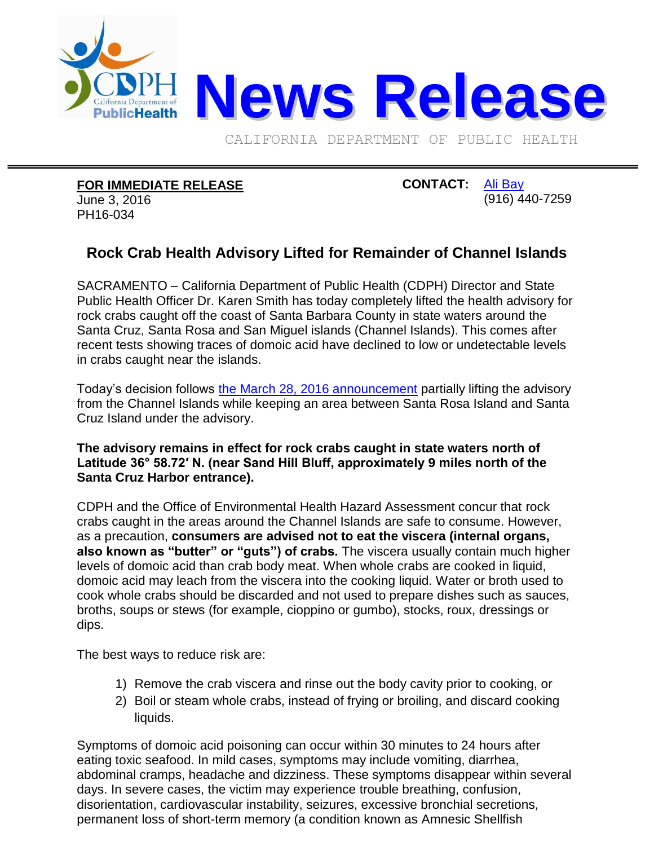

CALIFORNIA DEPARTMENT OF PUBLIC HEALTH

## **FOR IMMEDIATE RELEASE**

June 3, 2016 PH16-034

## **CONTACT:** [Ali Bay](mailto:Ali.Bay@cdph.ca.gov?subject=News%20release) (916) 440-7259

## **Rock Crab Health Advisory Lifted for Remainder of Channel Islands**

SACRAMENTO – California Department of Public Health (CDPH) Director and State Public Health Officer Dr. Karen Smith has today completely lifted the health advisory for rock crabs caught off the coast of Santa Barbara County in state waters around the Santa Cruz, Santa Rosa and San Miguel islands (Channel Islands). This comes after recent tests showing traces of domoic acid have declined to low or undetectable levels in crabs caught near the islands.

Today's decision follows [the March 28, 2016 announcement](http://www.cdph.ca.gov/Pages/NR16-017.aspx) partially lifting the advisory from the Channel Islands while keeping an area between Santa Rosa Island and Santa Cruz Island under the advisory.

## **The advisory remains in effect for rock crabs caught in state waters north of Latitude 36° 58.72′ N. (near Sand Hill Bluff, approximately 9 miles north of the Santa Cruz Harbor entrance).**

CDPH and the Office of Environmental Health Hazard Assessment concur that rock crabs caught in the areas around the Channel Islands are safe to consume. However, as a precaution, **consumers are advised not to eat the viscera (internal organs, also known as "butter" or "guts") of crabs.** The viscera usually contain much higher levels of domoic acid than crab body meat. When whole crabs are cooked in liquid, domoic acid may leach from the viscera into the cooking liquid. Water or broth used to cook whole crabs should be discarded and not used to prepare dishes such as sauces, broths, soups or stews (for example, cioppino or gumbo), stocks, roux, dressings or dips.

The best ways to reduce risk are:

- 1) Remove the crab viscera and rinse out the body cavity prior to cooking, or
- 2) Boil or steam whole crabs, instead of frying or broiling, and discard cooking liquids.

Symptoms of domoic acid poisoning can occur within 30 minutes to 24 hours after eating toxic seafood. In mild cases, symptoms may include vomiting, diarrhea, abdominal cramps, headache and dizziness. These symptoms disappear within several days. In severe cases, the victim may experience trouble breathing, confusion, disorientation, cardiovascular instability, seizures, excessive bronchial secretions, permanent loss of short-term memory (a condition known as Amnesic Shellfish